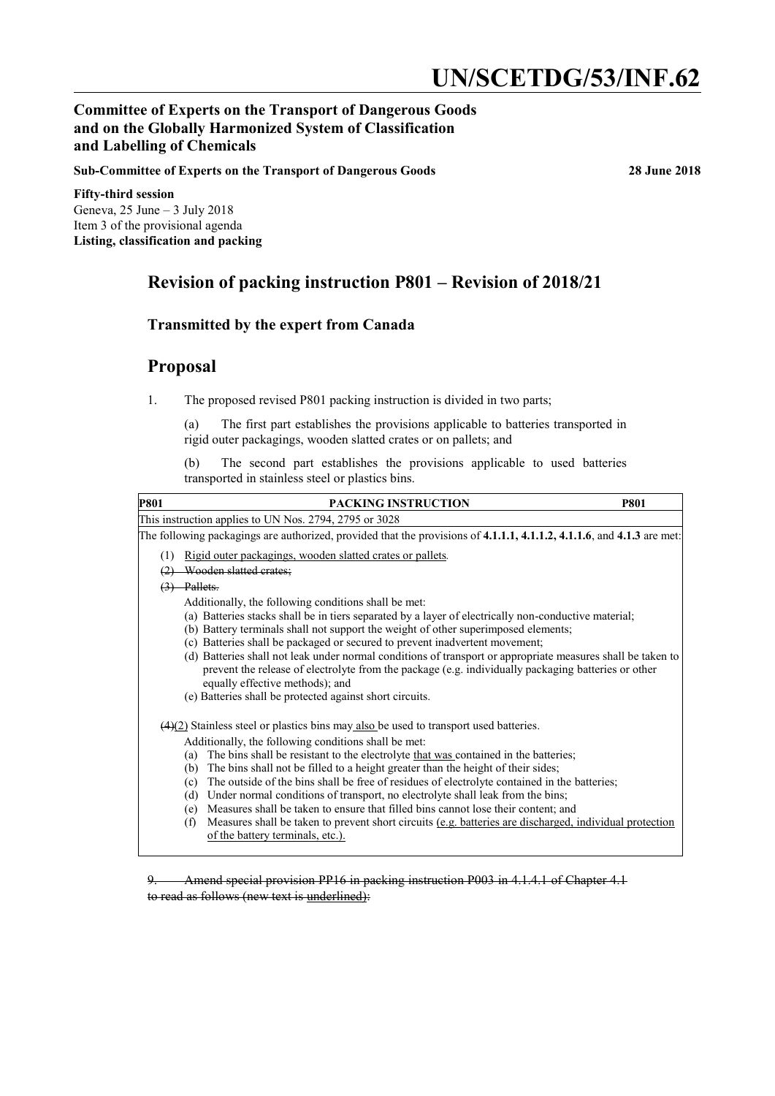# **UN/SCETDG/53/INF.62**

## **Committee of Experts on the Transport of Dangerous Goods and on the Globally Harmonized System of Classification and Labelling of Chemicals**

**Sub-Committee of Experts on the Transport of Dangerous Goods 28 June 2018**

**Fifty-third session** Geneva, 25 June – 3 July 2018 Item 3 of the provisional agenda **Listing, classification and packing**

# **Revision of packing instruction P801 – Revision of 2018/21**

#### **Transmitted by the expert from Canada**

## **Proposal**

1. The proposed revised P801 packing instruction is divided in two parts;

(a) The first part establishes the provisions applicable to batteries transported in rigid outer packagings, wooden slatted crates or on pallets; and

(b) The second part establishes the provisions applicable to used batteries transported in stainless steel or plastics bins.

| <b>P801</b> | PACKING INSTRUCTION                                                                                                                                                                                                                                   | <b>P801</b> |
|-------------|-------------------------------------------------------------------------------------------------------------------------------------------------------------------------------------------------------------------------------------------------------|-------------|
|             | This instruction applies to UN Nos. 2794, 2795 or 3028                                                                                                                                                                                                |             |
|             | The following packagings are authorized, provided that the provisions of 4.1.1.1, 4.1.1.2, 4.1.1.6, and 4.1.3 are met:                                                                                                                                |             |
| (1)         | Rigid outer packagings, wooden slatted crates or pallets.                                                                                                                                                                                             |             |
|             | Wooden slatted crates:                                                                                                                                                                                                                                |             |
|             | Pallets.                                                                                                                                                                                                                                              |             |
|             | Additionally, the following conditions shall be met:                                                                                                                                                                                                  |             |
|             | (a) Batteries stacks shall be in tiers separated by a layer of electrically non-conductive material;                                                                                                                                                  |             |
|             | (b) Battery terminals shall not support the weight of other superimposed elements;                                                                                                                                                                    |             |
|             | (c) Batteries shall be packaged or secured to prevent inadvertent movement;                                                                                                                                                                           |             |
|             | (d) Batteries shall not leak under normal conditions of transport or appropriate measures shall be taken to<br>prevent the release of electrolyte from the package (e.g. individually packaging batteries or other<br>equally effective methods); and |             |
|             | (e) Batteries shall be protected against short circuits.                                                                                                                                                                                              |             |
|             | $\frac{(4)(2)}{2}$ Stainless steel or plastics bins may also be used to transport used batteries.                                                                                                                                                     |             |
|             | Additionally, the following conditions shall be met:                                                                                                                                                                                                  |             |
|             | The bins shall be resistant to the electrolyte that was contained in the batteries;<br>(a)                                                                                                                                                            |             |
|             | The bins shall not be filled to a height greater than the height of their sides;<br>(b)                                                                                                                                                               |             |
|             | The outside of the bins shall be free of residues of electrolyte contained in the batteries;<br>(c)                                                                                                                                                   |             |
|             | Under normal conditions of transport, no electrolyte shall leak from the bins;<br>(d)                                                                                                                                                                 |             |
|             | Measures shall be taken to ensure that filled bins cannot lose their content; and<br>(e)                                                                                                                                                              |             |
|             | Measures shall be taken to prevent short circuits (e.g. batteries are discharged, individual protection<br>(f)<br>of the battery terminals, etc.).                                                                                                    |             |
|             |                                                                                                                                                                                                                                                       |             |

9. Amend special provision PP16 in packing instruction P003 in 4.1.4.1 of Chapter 4.1 to read as follows (new text is underlined):